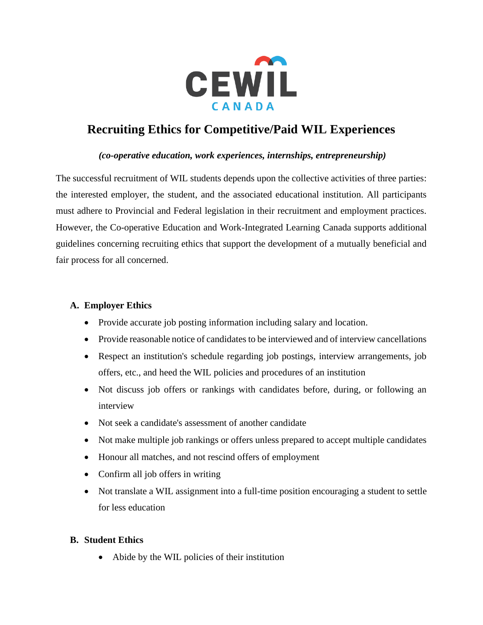

# **Recruiting Ethics for Competitive/Paid WIL Experiences**

### *(co-operative education, work experiences, internships, entrepreneurship)*

The successful recruitment of WIL students depends upon the collective activities of three parties: the interested employer, the student, and the associated educational institution. All participants must adhere to Provincial and Federal legislation in their recruitment and employment practices. However, the Co-operative Education and Work-Integrated Learning Canada supports additional guidelines concerning recruiting ethics that support the development of a mutually beneficial and fair process for all concerned.

### **A. Employer Ethics**

- Provide accurate job posting information including salary and location.
- Provide reasonable notice of candidates to be interviewed and of interview cancellations
- Respect an institution's schedule regarding job postings, interview arrangements, job offers, etc., and heed the WIL policies and procedures of an institution
- Not discuss job offers or rankings with candidates before, during, or following an interview
- Not seek a candidate's assessment of another candidate
- Not make multiple job rankings or offers unless prepared to accept multiple candidates
- Honour all matches, and not rescind offers of employment
- Confirm all job offers in writing
- Not translate a WIL assignment into a full-time position encouraging a student to settle for less education

### **B. Student Ethics**

• Abide by the WIL policies of their institution